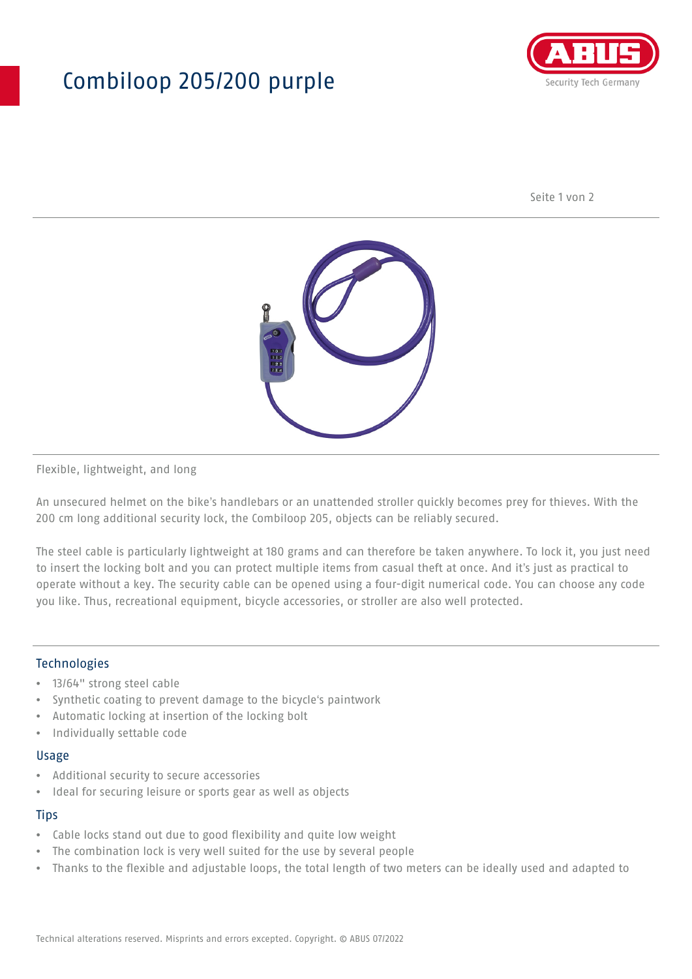## Combiloop 205/200 purple



Seite 1 von 2



Flexible, lightweight, and long

An unsecured helmet on the bike's handlebars or an unattended stroller quickly becomes prey for thieves. With the 200 cm long additional security lock, the Combiloop 205, objects can be reliably secured.

The steel cable is particularly lightweight at 180 grams and can therefore be taken anywhere. To lock it, you just need to insert the locking bolt and you can protect multiple items from casual theft at once. And it's just as practical to operate without a key. The security cable can be opened using a four-digit numerical code. You can choose any code you like. Thus, recreational equipment, bicycle accessories, or stroller are also well protected.

#### Technologies

- 13/64" strong steel cable
- Synthetic coating to prevent damage to the bicycle's paintwork
- Automatic locking at insertion of the locking bolt
- Individually settable code

#### Usage

- Additional security to secure accessories
- Ideal for securing leisure or sports gear as well as objects

#### **Tips**

- Cable locks stand out due to good flexibility and quite low weight
- The combination lock is very well suited for the use by several people
- Thanks to the flexible and adjustable loops, the total length of two meters can be ideally used and adapted to